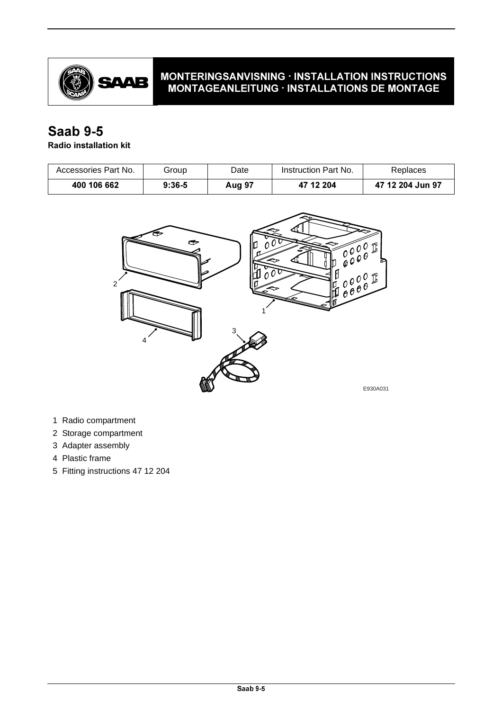

## **MONTERINGSANVISNING · INSTALLATION INSTRUCTIONS** MONTAGEANLEITUNG · INSTALLATIONS DE MONTAGE

## **Saab 9-5**

## **Radio installation kit**

| Accessories Part No. | Group    | Date          | Instruction Part No. | Replaces         |
|----------------------|----------|---------------|----------------------|------------------|
| 400 106 662          | $9:36-5$ | <b>Aug 97</b> | 47 12 204            | 47 12 204 Jun 97 |



- 1 Radio compartment
- 2 Storage compartment
- 3 Adapter assembly
- 4 Plastic frame
- 5 Fitting instructions 47 12 204